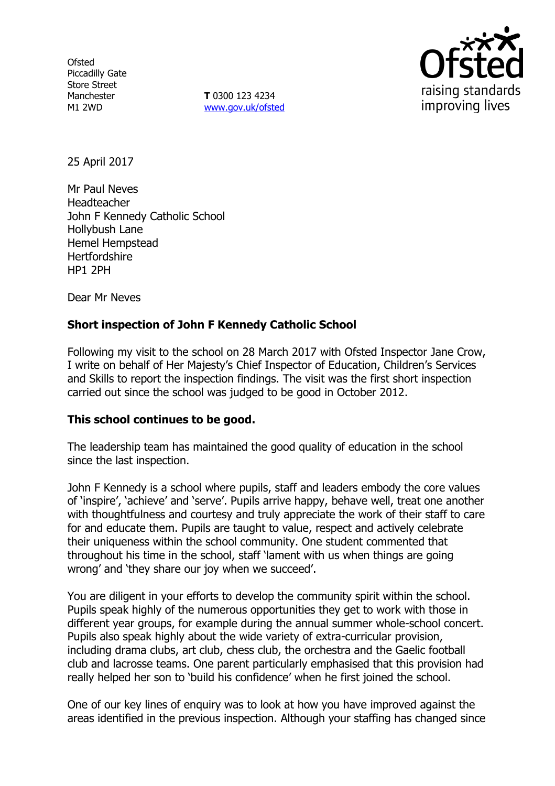**Ofsted** Piccadilly Gate Store Street Manchester M1 2WD

**T** 0300 123 4234 www.gov.uk/ofsted



25 April 2017

Mr Paul Neves Headteacher John F Kennedy Catholic School Hollybush Lane Hemel Hempstead **Hertfordshire** HP1 2PH

Dear Mr Neves

# **Short inspection of John F Kennedy Catholic School**

Following my visit to the school on 28 March 2017 with Ofsted Inspector Jane Crow, I write on behalf of Her Majesty's Chief Inspector of Education, Children's Services and Skills to report the inspection findings. The visit was the first short inspection carried out since the school was judged to be good in October 2012.

# **This school continues to be good.**

The leadership team has maintained the good quality of education in the school since the last inspection.

John F Kennedy is a school where pupils, staff and leaders embody the core values of 'inspire', 'achieve' and 'serve'. Pupils arrive happy, behave well, treat one another with thoughtfulness and courtesy and truly appreciate the work of their staff to care for and educate them. Pupils are taught to value, respect and actively celebrate their uniqueness within the school community. One student commented that throughout his time in the school, staff 'lament with us when things are going wrong' and 'they share our joy when we succeed'.

You are diligent in your efforts to develop the community spirit within the school. Pupils speak highly of the numerous opportunities they get to work with those in different year groups, for example during the annual summer whole-school concert. Pupils also speak highly about the wide variety of extra-curricular provision, including drama clubs, art club, chess club, the orchestra and the Gaelic football club and lacrosse teams. One parent particularly emphasised that this provision had really helped her son to 'build his confidence' when he first joined the school.

One of our key lines of enquiry was to look at how you have improved against the areas identified in the previous inspection. Although your staffing has changed since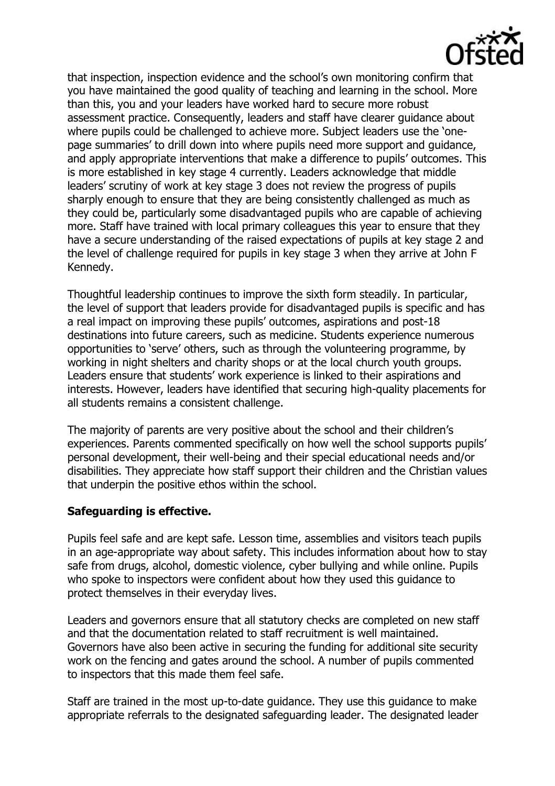

that inspection, inspection evidence and the school's own monitoring confirm that you have maintained the good quality of teaching and learning in the school. More than this, you and your leaders have worked hard to secure more robust assessment practice. Consequently, leaders and staff have clearer guidance about where pupils could be challenged to achieve more. Subject leaders use the 'onepage summaries' to drill down into where pupils need more support and guidance, and apply appropriate interventions that make a difference to pupils' outcomes. This is more established in key stage 4 currently. Leaders acknowledge that middle leaders' scrutiny of work at key stage 3 does not review the progress of pupils sharply enough to ensure that they are being consistently challenged as much as they could be, particularly some disadvantaged pupils who are capable of achieving more. Staff have trained with local primary colleagues this year to ensure that they have a secure understanding of the raised expectations of pupils at key stage 2 and the level of challenge required for pupils in key stage 3 when they arrive at John F Kennedy.

Thoughtful leadership continues to improve the sixth form steadily. In particular, the level of support that leaders provide for disadvantaged pupils is specific and has a real impact on improving these pupils' outcomes, aspirations and post-18 destinations into future careers, such as medicine. Students experience numerous opportunities to 'serve' others, such as through the volunteering programme, by working in night shelters and charity shops or at the local church youth groups. Leaders ensure that students' work experience is linked to their aspirations and interests. However, leaders have identified that securing high-quality placements for all students remains a consistent challenge.

The majority of parents are very positive about the school and their children's experiences. Parents commented specifically on how well the school supports pupils' personal development, their well-being and their special educational needs and/or disabilities. They appreciate how staff support their children and the Christian values that underpin the positive ethos within the school.

# **Safeguarding is effective.**

Pupils feel safe and are kept safe. Lesson time, assemblies and visitors teach pupils in an age-appropriate way about safety. This includes information about how to stay safe from drugs, alcohol, domestic violence, cyber bullying and while online. Pupils who spoke to inspectors were confident about how they used this guidance to protect themselves in their everyday lives.

Leaders and governors ensure that all statutory checks are completed on new staff and that the documentation related to staff recruitment is well maintained. Governors have also been active in securing the funding for additional site security work on the fencing and gates around the school. A number of pupils commented to inspectors that this made them feel safe.

Staff are trained in the most up-to-date guidance. They use this guidance to make appropriate referrals to the designated safeguarding leader. The designated leader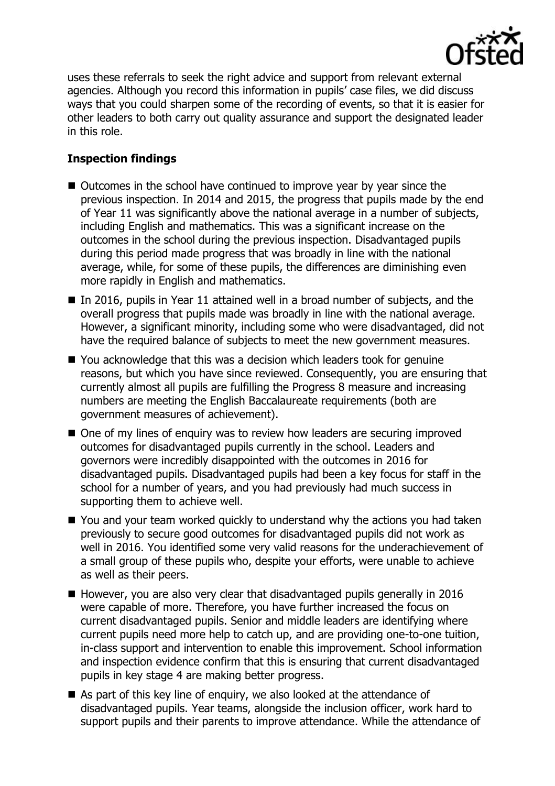

uses these referrals to seek the right advice and support from relevant external agencies. Although you record this information in pupils' case files, we did discuss ways that you could sharpen some of the recording of events, so that it is easier for other leaders to both carry out quality assurance and support the designated leader in this role.

# **Inspection findings**

- Outcomes in the school have continued to improve year by year since the previous inspection. In 2014 and 2015, the progress that pupils made by the end of Year 11 was significantly above the national average in a number of subjects, including English and mathematics. This was a significant increase on the outcomes in the school during the previous inspection. Disadvantaged pupils during this period made progress that was broadly in line with the national average, while, for some of these pupils, the differences are diminishing even more rapidly in English and mathematics.
- In 2016, pupils in Year 11 attained well in a broad number of subjects, and the overall progress that pupils made was broadly in line with the national average. However, a significant minority, including some who were disadvantaged, did not have the required balance of subjects to meet the new government measures.
- You acknowledge that this was a decision which leaders took for genuine reasons, but which you have since reviewed. Consequently, you are ensuring that currently almost all pupils are fulfilling the Progress 8 measure and increasing numbers are meeting the English Baccalaureate requirements (both are government measures of achievement).
- One of my lines of enquiry was to review how leaders are securing improved outcomes for disadvantaged pupils currently in the school. Leaders and governors were incredibly disappointed with the outcomes in 2016 for disadvantaged pupils. Disadvantaged pupils had been a key focus for staff in the school for a number of years, and you had previously had much success in supporting them to achieve well.
- You and your team worked quickly to understand why the actions you had taken previously to secure good outcomes for disadvantaged pupils did not work as well in 2016. You identified some very valid reasons for the underachievement of a small group of these pupils who, despite your efforts, were unable to achieve as well as their peers.
- $\blacksquare$  However, you are also very clear that disadvantaged pupils generally in 2016 were capable of more. Therefore, you have further increased the focus on current disadvantaged pupils. Senior and middle leaders are identifying where current pupils need more help to catch up, and are providing one-to-one tuition, in-class support and intervention to enable this improvement. School information and inspection evidence confirm that this is ensuring that current disadvantaged pupils in key stage 4 are making better progress.
- As part of this key line of enquiry, we also looked at the attendance of disadvantaged pupils. Year teams, alongside the inclusion officer, work hard to support pupils and their parents to improve attendance. While the attendance of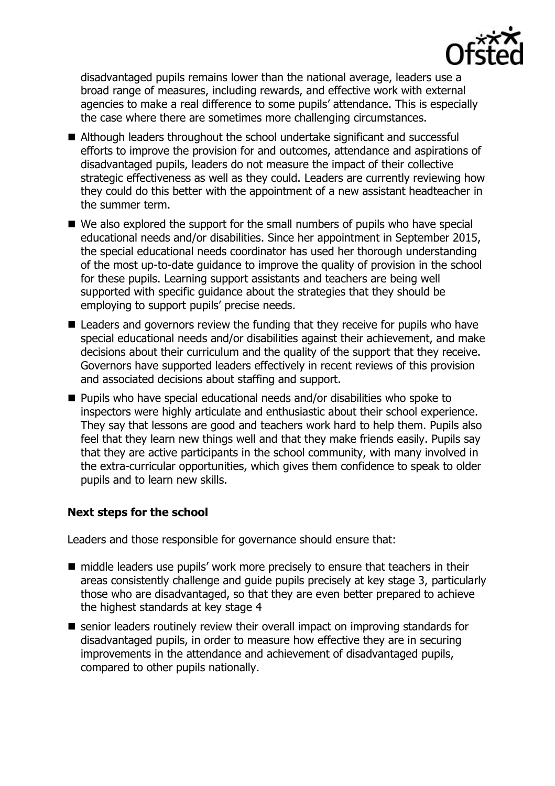

disadvantaged pupils remains lower than the national average, leaders use a broad range of measures, including rewards, and effective work with external agencies to make a real difference to some pupils' attendance. This is especially the case where there are sometimes more challenging circumstances.

- Although leaders throughout the school undertake significant and successful efforts to improve the provision for and outcomes, attendance and aspirations of disadvantaged pupils, leaders do not measure the impact of their collective strategic effectiveness as well as they could. Leaders are currently reviewing how they could do this better with the appointment of a new assistant headteacher in the summer term.
- We also explored the support for the small numbers of pupils who have special educational needs and/or disabilities. Since her appointment in September 2015, the special educational needs coordinator has used her thorough understanding of the most up-to-date guidance to improve the quality of provision in the school for these pupils. Learning support assistants and teachers are being well supported with specific guidance about the strategies that they should be employing to support pupils' precise needs.
- Leaders and governors review the funding that they receive for pupils who have special educational needs and/or disabilities against their achievement, and make decisions about their curriculum and the quality of the support that they receive. Governors have supported leaders effectively in recent reviews of this provision and associated decisions about staffing and support.
- Pupils who have special educational needs and/or disabilities who spoke to inspectors were highly articulate and enthusiastic about their school experience. They say that lessons are good and teachers work hard to help them. Pupils also feel that they learn new things well and that they make friends easily. Pupils say that they are active participants in the school community, with many involved in the extra-curricular opportunities, which gives them confidence to speak to older pupils and to learn new skills.

# **Next steps for the school**

Leaders and those responsible for governance should ensure that:

- middle leaders use pupils' work more precisely to ensure that teachers in their areas consistently challenge and guide pupils precisely at key stage 3, particularly those who are disadvantaged, so that they are even better prepared to achieve the highest standards at key stage 4
- senior leaders routinely review their overall impact on improving standards for disadvantaged pupils, in order to measure how effective they are in securing improvements in the attendance and achievement of disadvantaged pupils, compared to other pupils nationally.